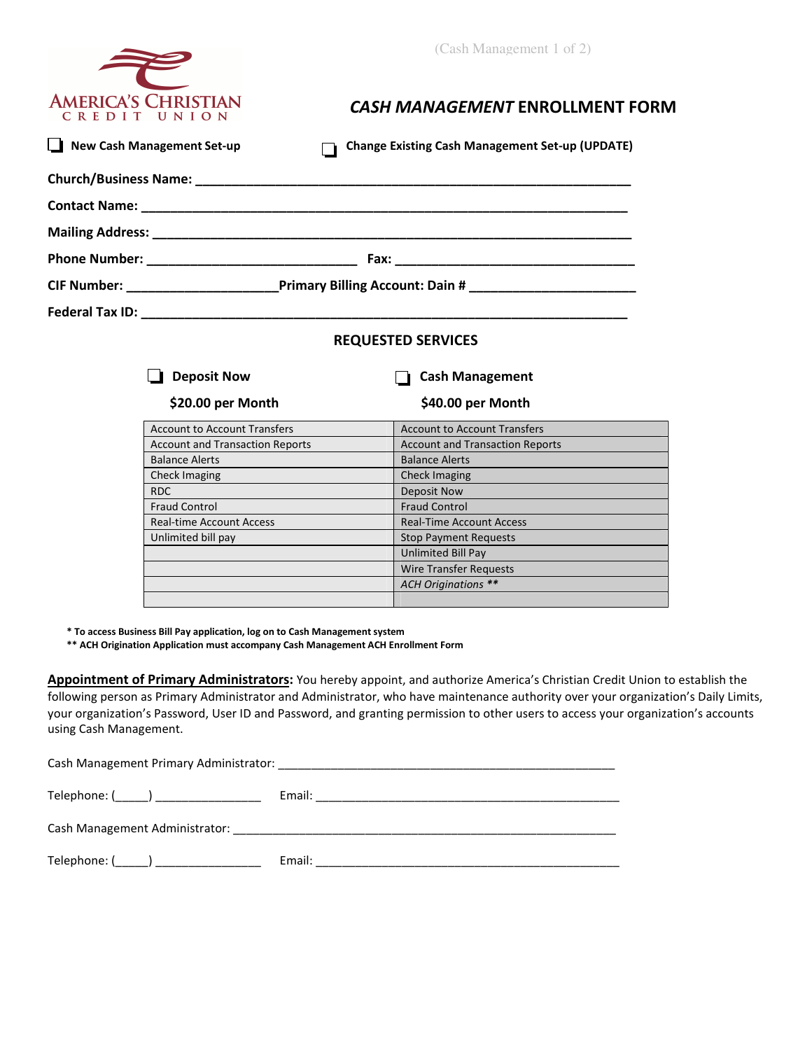(Cash Management 1 of 2)



## *CASH MANAGEMENT* **ENROLLMENT FORM**

| New Cash Management Set-up |                                                                                                     | <b>Change Existing Cash Management Set-up (UPDATE)</b> |  |  |  |
|----------------------------|-----------------------------------------------------------------------------------------------------|--------------------------------------------------------|--|--|--|
|                            |                                                                                                     |                                                        |  |  |  |
|                            |                                                                                                     |                                                        |  |  |  |
|                            |                                                                                                     |                                                        |  |  |  |
|                            |                                                                                                     |                                                        |  |  |  |
|                            | CIF Number: _________________________Primary Billing Account: Dain # ______________________________ |                                                        |  |  |  |
|                            |                                                                                                     |                                                        |  |  |  |
|                            | <b>REQUESTED SERVICES</b>                                                                           |                                                        |  |  |  |
|                            | <b>Deposit Now</b>                                                                                  | <b>Cash Management</b>                                 |  |  |  |
|                            | \$20.00 per Month                                                                                   | \$40.00 per Month                                      |  |  |  |
|                            | <b>Account to Account Transfers</b>                                                                 | <b>Account to Account Transfers</b>                    |  |  |  |
|                            | <b>Account and Transaction Reports</b>                                                              | <b>Account and Transaction Reports</b>                 |  |  |  |
|                            | <b>Balance Alerts</b><br><u> 1990 - Jan Barnett III.</u>                                            | <b>Balance Alerts</b>                                  |  |  |  |
|                            | Check Imaging                                                                                       |                                                        |  |  |  |
|                            | <b>RDC</b>                                                                                          | Deposit Now                                            |  |  |  |
|                            | <b>Fraud Control</b>                                                                                | <b>Fraud Control</b>                                   |  |  |  |
|                            | Real-time Account Access                                                                            | <b>Real-Time Account Access</b>                        |  |  |  |
|                            | Unlimited bill pay                                                                                  | Stop Payment Requests                                  |  |  |  |
|                            |                                                                                                     | <b>Unlimited Bill Pay</b>                              |  |  |  |
|                            |                                                                                                     | Wire Transfer Requests                                 |  |  |  |
|                            |                                                                                                     | <b>ACH Originations **</b>                             |  |  |  |
|                            |                                                                                                     |                                                        |  |  |  |

 **\* To access Business Bill Pay application, log on to Cash Management system** 

 **\*\* ACH Origination Application must accompany Cash Management ACH Enrollment Form** 

**Appointment of Primary Administrators:** You hereby appoint, and authorize America's Christian Credit Union to establish the following person as Primary Administrator and Administrator, who have maintenance authority over your organization's Daily Limits, your organization's Password, User ID and Password, and granting permission to other users to access your organization's accounts using Cash Management.

Cash Management Primary Administrator: \_\_\_\_\_\_\_\_\_\_\_\_\_\_\_\_\_\_\_\_\_\_\_\_\_\_\_\_\_\_\_\_\_\_\_\_\_\_\_\_\_\_\_\_\_\_\_\_\_\_\_ Telephone: (\_\_\_\_\_) \_\_\_\_\_\_\_\_\_\_\_\_\_\_\_\_ Email: \_\_\_\_\_\_\_\_\_\_\_\_\_\_\_\_\_\_\_\_\_\_\_\_\_\_\_\_\_\_\_\_\_\_\_\_\_\_\_\_\_\_\_\_\_\_ Cash Management Administrator: \_\_\_\_\_\_\_\_\_\_\_\_\_\_\_\_\_\_\_\_\_\_\_\_\_\_\_\_\_\_\_\_\_\_\_\_\_\_\_\_\_\_\_\_\_\_\_\_\_\_\_\_\_\_\_\_\_\_ Telephone: (\_\_\_\_\_) \_\_\_\_\_\_\_\_\_\_\_\_\_\_\_\_ Email: \_\_\_\_\_\_\_\_\_\_\_\_\_\_\_\_\_\_\_\_\_\_\_\_\_\_\_\_\_\_\_\_\_\_\_\_\_\_\_\_\_\_\_\_\_\_